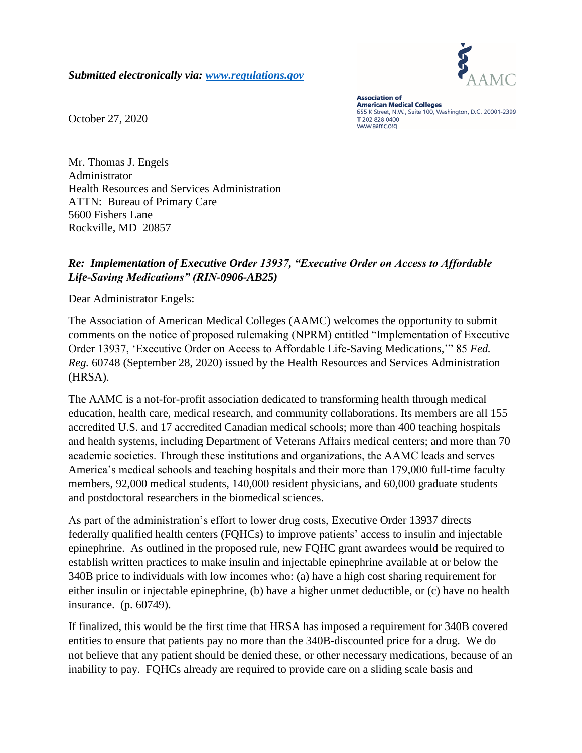*Submitted electronically via: [www.regulations.gov](http://www.regulations.gov/)*



October 27, 2020

**Association of American Medical Colleges** 655 K Street, N.W., Suite 100, Washington, D.C. 20001-2399 T 202 828 0400 www.aamc.org

Mr. Thomas J. Engels Administrator Health Resources and Services Administration ATTN: Bureau of Primary Care 5600 Fishers Lane Rockville, MD 20857

## *Re: Implementation of Executive Order 13937, "Executive Order on Access to Affordable Life-Saving Medications" (RIN-0906-AB25)*

Dear Administrator Engels:

The Association of American Medical Colleges (AAMC) welcomes the opportunity to submit comments on the notice of proposed rulemaking (NPRM) entitled "Implementation of Executive Order 13937, 'Executive Order on Access to Affordable Life-Saving Medications,'" 85 *Fed. Reg.* 60748 (September 28, 2020) issued by the Health Resources and Services Administration (HRSA).

The AAMC is a not-for-profit association dedicated to transforming health through medical education, health care, medical research, and community collaborations. Its members are all 155 accredited U.S. and 17 accredited Canadian medical schools; more than 400 teaching hospitals and health systems, including Department of Veterans Affairs medical centers; and more than 70 academic societies. Through these institutions and organizations, the AAMC leads and serves America's medical schools and teaching hospitals and their more than 179,000 full-time faculty members, 92,000 medical students, 140,000 resident physicians, and 60,000 graduate students and postdoctoral researchers in the biomedical sciences.

As part of the administration's effort to lower drug costs, Executive Order 13937 directs federally qualified health centers (FQHCs) to improve patients' access to insulin and injectable epinephrine. As outlined in the proposed rule, new FQHC grant awardees would be required to establish written practices to make insulin and injectable epinephrine available at or below the 340B price to individuals with low incomes who: (a) have a high cost sharing requirement for either insulin or injectable epinephrine, (b) have a higher unmet deductible, or (c) have no health insurance. (p. 60749).

If finalized, this would be the first time that HRSA has imposed a requirement for 340B covered entities to ensure that patients pay no more than the 340B-discounted price for a drug. We do not believe that any patient should be denied these, or other necessary medications, because of an inability to pay. FQHCs already are required to provide care on a sliding scale basis and